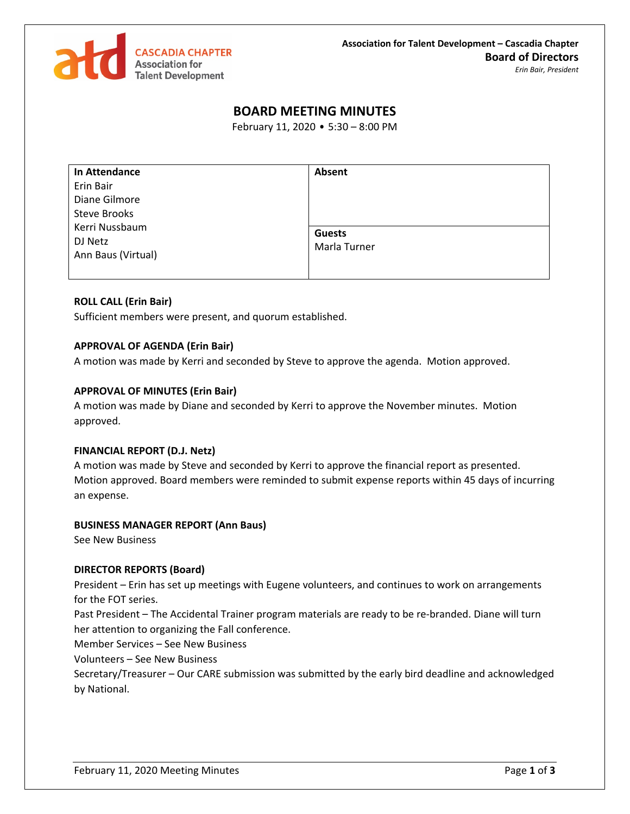

# **BOARD MEETING MINUTES**

February 11, 2020 • 5:30 – 8:00 PM

| In Attendance       | Absent        |
|---------------------|---------------|
| Erin Bair           |               |
| Diane Gilmore       |               |
| <b>Steve Brooks</b> |               |
| Kerri Nussbaum      | <b>Guests</b> |
| DJ Netz             | Marla Turner  |
| Ann Baus (Virtual)  |               |
|                     |               |

## **ROLL CALL (Erin Bair)**

Sufficient members were present, and quorum established.

### **APPROVAL OF AGENDA (Erin Bair)**

A motion was made by Kerri and seconded by Steve to approve the agenda. Motion approved.

#### **APPROVAL OF MINUTES (Erin Bair)**

A motion was made by Diane and seconded by Kerri to approve the November minutes. Motion approved.

### **FINANCIAL REPORT (D.J. Netz)**

A motion was made by Steve and seconded by Kerri to approve the financial report as presented. Motion approved. Board members were reminded to submit expense reports within 45 days of incurring an expense.

### **BUSINESS MANAGER REPORT (Ann Baus)**

See New Business

### **DIRECTOR REPORTS (Board)**

President – Erin has set up meetings with Eugene volunteers, and continues to work on arrangements for the FOT series.

Past President – The Accidental Trainer program materials are ready to be re-branded. Diane will turn her attention to organizing the Fall conference.

Member Services – See New Business

Volunteers – See New Business

Secretary/Treasurer – Our CARE submission was submitted by the early bird deadline and acknowledged by National.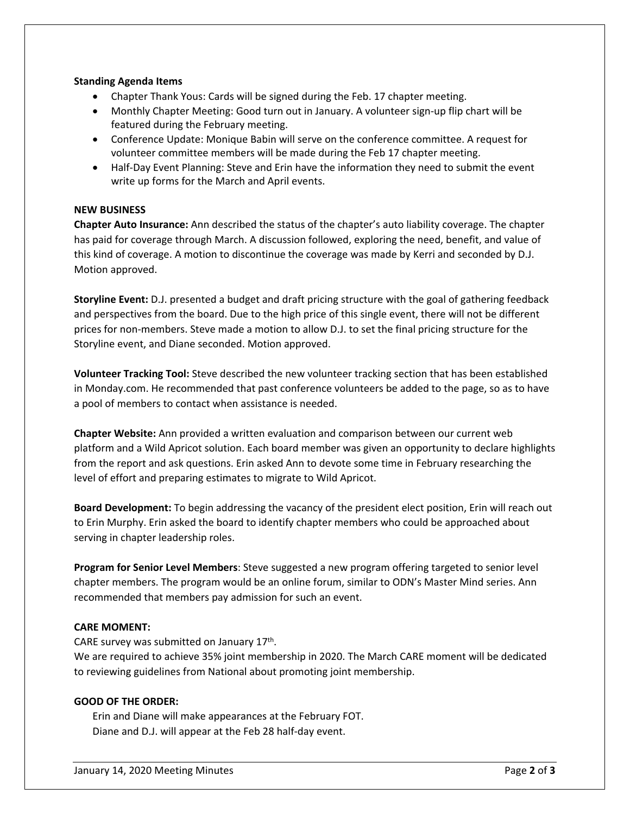## **Standing Agenda Items**

- Chapter Thank Yous: Cards will be signed during the Feb. 17 chapter meeting.
- Monthly Chapter Meeting: Good turn out in January. A volunteer sign-up flip chart will be featured during the February meeting.
- Conference Update: Monique Babin will serve on the conference committee. A request for volunteer committee members will be made during the Feb 17 chapter meeting.
- Half-Day Event Planning: Steve and Erin have the information they need to submit the event write up forms for the March and April events.

## **NEW BUSINESS**

**Chapter Auto Insurance:** Ann described the status of the chapter's auto liability coverage. The chapter has paid for coverage through March. A discussion followed, exploring the need, benefit, and value of this kind of coverage. A motion to discontinue the coverage was made by Kerri and seconded by D.J. Motion approved.

**Storyline Event:** D.J. presented a budget and draft pricing structure with the goal of gathering feedback and perspectives from the board. Due to the high price of this single event, there will not be different prices for non-members. Steve made a motion to allow D.J. to set the final pricing structure for the Storyline event, and Diane seconded. Motion approved.

**Volunteer Tracking Tool:** Steve described the new volunteer tracking section that has been established in Monday.com. He recommended that past conference volunteers be added to the page, so as to have a pool of members to contact when assistance is needed.

**Chapter Website:** Ann provided a written evaluation and comparison between our current web platform and a Wild Apricot solution. Each board member was given an opportunity to declare highlights from the report and ask questions. Erin asked Ann to devote some time in February researching the level of effort and preparing estimates to migrate to Wild Apricot.

**Board Development:** To begin addressing the vacancy of the president elect position, Erin will reach out to Erin Murphy. Erin asked the board to identify chapter members who could be approached about serving in chapter leadership roles.

**Program for Senior Level Members**: Steve suggested a new program offering targeted to senior level chapter members. The program would be an online forum, similar to ODN's Master Mind series. Ann recommended that members pay admission for such an event.

## **CARE MOMENT:**

CARE survey was submitted on January 17<sup>th</sup>.

We are required to achieve 35% joint membership in 2020. The March CARE moment will be dedicated to reviewing guidelines from National about promoting joint membership.

## **GOOD OF THE ORDER:**

Erin and Diane will make appearances at the February FOT. Diane and D.J. will appear at the Feb 28 half-day event.